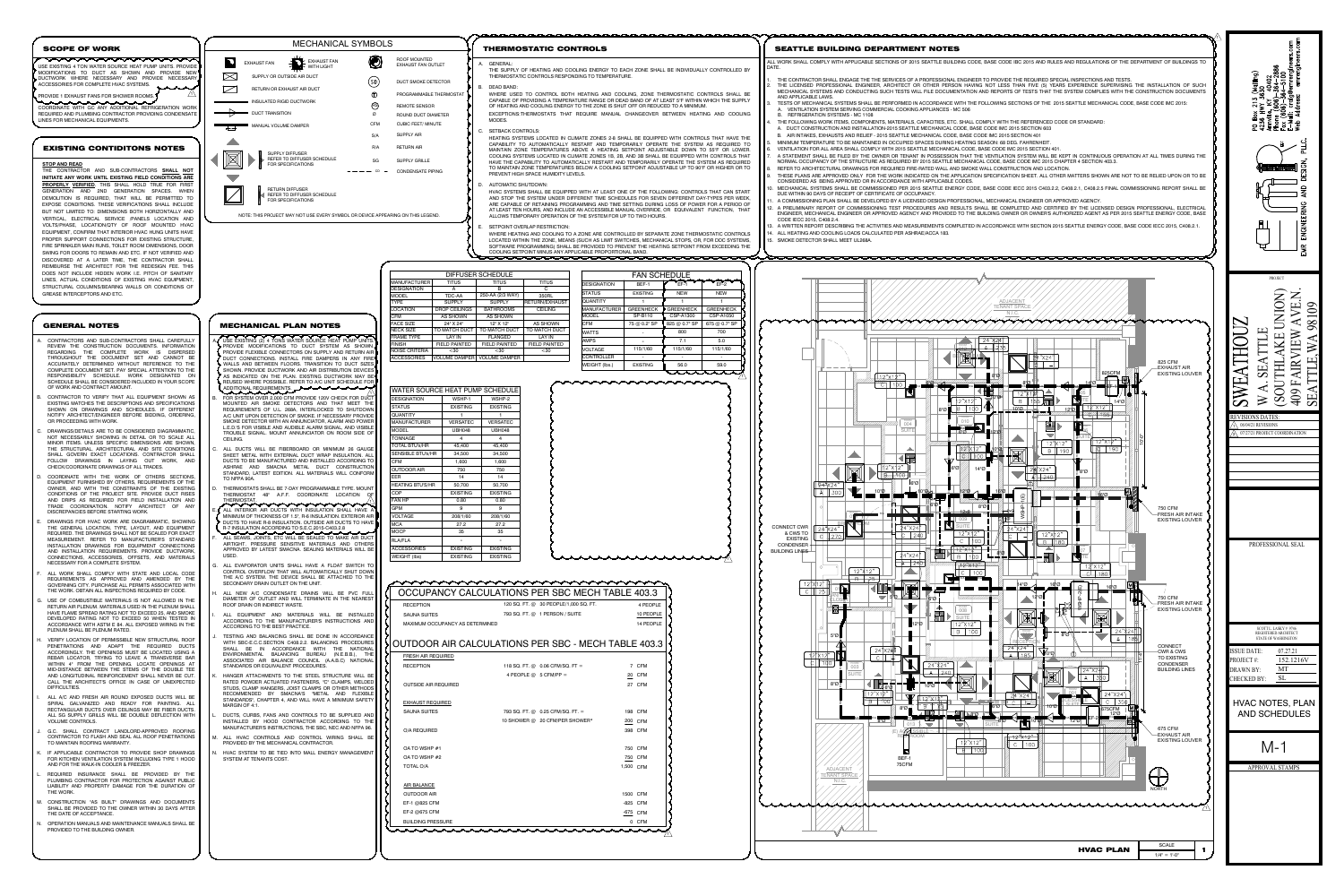

EXHAUST REQUIRED SAUNA SUITES

O/A REQUIRED

OA TO WSHP  $#1$ OA TO WSHP  $#2$ 

AIR BALANCE

OUTDOOR AIR EF-1  $@825$  CFM EF-2 @675 CFM BUILDING PRESSURE

munn

- CONTRACTORS AND SUB-CONTRACTORS SHALL CAREFULLY REVIEW THE CONSTRUCTION DOCUMENTS. INFORMATION REGARDING THE COMPLETE WORK IS DISPERSED THROUGHOUT THE DOCUMENT SET AND CANNOT BE ACCURATELY DETERMINED WITHOUT REFERENCE TO THE COMPLETE DOCUMENT SET. PAY SPECIAL ATTENTION TO THE RESPONSIBILITY SCHEDULE. WORK DESIGNATED ON SCHEDULE SHALL BE CONSIDERED INCLUDED IN YOUR SCOPE OF WORK AND CONTRACT AMOUNT.
- CONTRACTOR TO VERIFY THAT ALL EQUIPMENT SHOWN AS EXISTING MATCHES THE DESCRIPTIONS AND SPECIFICATIONS SHOWN ON DRAWINGS AND SCHEDULES. IF DIFFERENT NOTIFY ARCHITECT/ENGINEER BEFORE BIDDING, ORDERING, OR PROCEEDING WITH WORK.
- DRAWINGS/DETAILS ARE TO BE CONSIDERED DIAGRAMMATIC, NOT NECESSARILY SHOWING IN DETAIL OR TO SCALE ALL MINOR ITEMS. UNLESS SPECIFIC DIMENSIONS ARE SHOWN, THE STRUCTURAL, ARCHITECTURAL AND SITE CONDITIONS SHALL GOVERN EXACT LOCATIONS. CONTRACTOR SHALL FOLLOW DRAWINGS IN LAYING OUT WORK, AND CHECK/COORDINATE DRAWINGS OF ALL TRADES.
- COORDINATE WITH THE WORK OF OTHERS SECTIONS EQUIPMENT FURNISHED BY OTHERS, REQUIREMENTS OF THE OWNER, AND WITH THE CONSTRAINTS OF THE EXISTING CONDITIONS OF THE PROJECT SITE. PROVIDE DUCT RISES AND DRIPS AS REQUIRED FOR FIELD INSTALLATION AND TRADE COORDINATION. NOTIFY ARCHITECT OF ANY DISCREPANCIES BEFORE STARTING WORK.
- DRAWINGS FOR HVAC WORK ARE DIAGRAMMATIC, SHOWING THE GENERAL LOCATION, TYPE, LAYOUT, AND EQUIPMENT REQUIRED. THE DRAWINGS SHALL NOT BE SCALED FOR EXACT MEASUREMENT. REFER TO MANUFACTURER'S STANDARD INSTALLATION DRAWINGS FOR EQUIPMENT CONNECTIONS AND INSTALLATION REQUIREMENTS. PROVIDE DUCTWORK, CONNECTIONS, ACCESSORIES, OFFSETS, AND MATERIALS NECESSARY FOR A COMPLETE SYSTEM.
- ALL WORK SHALL COMPLY WITH STATE AND LOCAL CODE REQUIREMENTS AS APPROVED AND AMENDED BY THE GOVERNING CITY. PURCHASE ALL PERMITS ASSOCIATED WITH THE WORK. OBTAIN ALL INSPECTIONS REQUIRED BY CODE.
- USE OF COMBUSTIBLE MATERIALS IS NOT ALLOWED IN THE RETURN AIR PLENUM. MATERIALS USED IN THE PLENUM SHALL HAVE FLAME SPREAD RATING NOT TO EXCEED 25, AND SMOKE DEVELOPED RATING NOT TO EXCEED 50 WHEN TESTED IN ACCORDANCE WITH ASTM E 84. ALL EXPOSED WIRING IN THE PLENUM SHALL BE PLENUM RATED.
- VERIFY LOCATION OF PERMISSIBLE NEW STRUCTURAL ROOF PENETRATIONS AND ADAPT THE REQUIRED DUCTS ACCORDINGLY. THE OPENINGS MUST BE LOCATED USING A REBAR LOCATOR, TRYING TO LEAVE A TRANSVERSE BAR WITHIN 4" FROM THE OPENING. LOCATE OPENINGS AT MID-DISTANCE BETWEEN THE STEMS OF THE DOUBLE TEE AND LONGITUDINAL REINFORCEMENT SHALL NEVER BE CUT. CALL THE ARCHITECT'S OFFICE IN CASE OF UNEXPECTED DIFFICULTIES.
- ALL A/C AND FRESH AIR ROUND EXPOSED DUCTS WILL BE SPIRAL GALVANIZED AND READY FOR PAINTING. ALL RECTANGULAR DUCTS OVER CEILINGS MAY BE FIBER DUCTS. ALL SG SUPPLY GRILLS WILL BE DOUBLE DEFLECTION WITH VOLUME CONTROLS.
- G.C. SHALL CONTRACT LANDLORD-APPROVED ROOFING CONTRACTOR TO FLASH AND SEAL ALL ROOF PENETRATIONS TO MAINTAIN ROOFING WARRANTY.
- IF APPLICABLE CONTRACTOR TO PROVIDE SHOP DRAWINGS FOR KITCHEN VENTILATION SYSTEM INCLUDING TYPE 1 HOOD AND FOR THE WALK-IN COOLER & FREEZER.
- REQUIRED INSURANCE SHALL BE PROVIDED BY THE PLUMBING CONTRACTOR FOR PROTECTION AGAINST PUBLIC LIABILITY AND PROPERTY DAMAGE FOR THE DURATION OF THE WORK.
- CONSTRUCTION "AS BUILT" DRAWINGS AND DOCUMENTS SHALL BE PROVIDED TO THE OWNER WITHIN 30 DAYS AFTER THE DATE OF ACCEPTANCE.
- OPERATION MANUALS AND MAINTENANCE MANUALS SHALL BE PROVIDED TO THE BUILDING OWNER.
- A. USE EXISTING (2) 4 TONS WATER SOURCE HEAT PUMP UNITS. PROVIDE MODIFICATIONS TO DUCT SYSTEM AS SHOWN. PROVIDE FLEXIBLE CONNECTORS ON SUPPLY AND RETURN AIR DUCT CONNECTIONS. INSTALL FIRE DAMPERS IN ANY FIRE WALLS AND BETWEEN FLOORS. TRANSITION TO DUCT SIZES SHOWN. PROVIDE DUCTWORK AND AIR DISTRIBUTION DEVICES  $^\prime$  as indicated on the plan. Existing ductwork may be REUSED WHERE POSSIBLE. REFER TO A/C UNIT SCHEDULE FOR
- ADDITIONAL REQUIREMENTS. FOR SYSTEM OVER 2,000 CFM PROVIDE 120V CHECK FOR DUCT MOUNTED AIR SMOKE DETECTORS AND THAT MEET THE
- REQUIREMENTS OF U.L. 268A, INTERLOCKED TO SHUTDOWN A/C UNIT UPON DETECTION OF SMOKE. IF NECESSARY PROVIDE SMOKE DETECTOR WITH AN ANNUNCIATOR, ALARM AND POWER L.E.D.'S FOR VISIBLE AND AUDIBLE ALARM SIGNAL, AND VISIBLE TROUBLE SIGNAL. MOUNT ANNUNCIATOR ON ROOM SIDE OF CEILING.
- ALL DUCTS WILL BE FIBERBOARD OR MINIMUM 26 GAUGE SHEET METAL WITH EXTERNAL DUCT WRAP INSULATION. ALL DUCTS TO BE MANUFACTURED AND INSTALLED ACCORDING TO ASHRAE AND SMACNA METAL DUCT CONSTRUCTIO STANDARD, LATEST EDITION. ALL MATERIALS WILL CONFORM TO NFPA 90A.
- THERMOSTATS SHALL BE 7-DAY PROGRAMMABLE TYPE. MOUNT THERMOSTAT 48" A.F.F. COORDINATE LOCATION OF THERMOSTAT. 1
- ALL INTERIOR AIR DUCTS WITH INSULATION SHALL HAVE A MINIMUM OF THICKNESS OF 1.5", R-6 INSULATION, EXTERIOR AIR DUCTS TO HAVE R-8 INSULATION. OUTSIDE AIR DUCTS TO HAVE R-7 INSULATION ACCORDING TO S.E.C.2015-C403.2.8
- ALL SEAMS, JOINTS, ETC WILL BE SEALED TO MAKE AIR DUCT AIRTIGHT. PRESSURE SENSITIVE MATERIALS AND OTHERS APPROVED BY LATEST SMACNA. SEALING MATERIALS WILL BE USED.
- ALL EVAPORATOR UNITS SHALL HAVE A FLOAT SWITCH TO CONTROL OVERFLOW THAT WILL AUTOMATICALLY SHUT DOWN THE A/C SYSTEM. THE DEVICE SHALL BE ATTACHED TO THE SECONDARY DRAIN OUTLET ON THE UNIT.
- ALL NEW A/C CONDENSATE DRAINS WILL BE PVC FULL DIAMETER OF OUTLET AND WILL TERMINATE IN THE NEAREST ROOF DRAIN OR INDIRECT WASTE.
- ALL EQUIPMENT AND MATERIALS WILL BE INSTALLED ACCORDING TO THE MANUFACTURER'S INSTRUCTIONS AND ACCORDING TO THE BEST PRACTICE.
- TESTING AND BALANCING SHALL BE DONE IN ACCORDANCE WITH SBC-E.C.C.SECTION C408.2.2. BALANCING PROCEDURES SHALL BE IN ACCORDANCE WITH THE NATIONAL ENVIRONMENTAL BALANCING BUREAU (N.E.B.B.), THE ASSOCIATED AIR BALANCE COUNCIL (A.A.B.C) NATIONAL STANDARDS OR EQUIVALENT PROCEDURES.
- HANGER ATTACHMENTS TO THE STEEL STRUCTURE WILL BE RATED POWDER ACTUATED FASTENERS, "C" CLAMPS, WELDED STUDS, CLAMP HANGERS, JOIST CLAMPS OR OTHER METHODS RECOMMENDED BY SMACNA'S "METAL AND FLEXIBLE STANDARDS", CHAPTER 4, AND WILL HAVE A MINIMUM SAFETY MARGIN OF 4:1.
- DUCTS, CURBS, FANS AND CONTROLS TO BE SUPPLIED AND INSTALLED BY HOOD CONTRACTOR ACCORDING TO THE MANUFACTURER'S INSTRUCTIONS, THE SBC, NEC AND NFPA 96.
- M. ALL HVAC CONTROLS AND CONTROL WIRING SHALL BE PROVIDED BY THE MECHANICAL CONTRACTOR.
- HVAC SYSTEM TO BE TIED INTO MALL ENERGY MANAGEMENT SYSTEM AT TENANTS COST.
- AND APPLICABLE LAWS.
- A. VENTILATION SYSTEM SERVING COMMERCIAL COOKING APPLIANCES MC 506 B. REFRIGERATION SYSTEMS - MC 1108
- 4. THE FOLLOWING WORK ITEMS, COMPONENTS, MATERIALS, CAPACITIES, ETC. SHALL COMPLY WITH THE REFERENCED CODE OR STANDARD: A. DUCT CONSTRUCTION AND INSTALLATION-2015 SEATTLE MECHANICAL CODE, BASE CODE IMC 2015 SECTION 603 B. AIR INTAKES, EXHAUSTS AND RELIEF - 2015 SEATTLE MECHANICAL CODE, BASE CODE IMC 2015 SECTION 401
- MINIMUM TEMPERATURE TO BE MAINTAINED IN OCCUPIED SPACES DURING HEATING SEASON: 68 DEG. FAHRENHEIT. 6. VENTILATION FOR ALL AREA SHALL COMPLY WITH 2015 SEATTLE MECHANICAL CODE, BASE CODE IMC 2015 SECTION 401.
- REFER TO ARCHITECTURAL DRAWINGS FOR REQUIRED FIRE-RATED WALL AND SMOKE WALL CONSTRUCTION AND LOCATION.
- CONSIDERED AS BEING APPROVED OR IN ACCORDANCE WITH APPLICABLE CODES. DUE WITHIN 90 DAYS OF RECEIPT OF CERTIFICATE OF OCCUPANCY.
- 11. A COMMISSIONING PLAN SHALL BE DEVELOPED BY A LICENSED DESIGN PROFESSIONAL, MECHANICAL ENGINEER OR APPROVED AGENCY.
- CODE IECC 2015, C408.2.4. 14. ALL HEATING AND COOLING LOADS CALCULATED PER ASHRAE/ACCA 183.
- $\begin{array}{|c|c|c|c|c|c|}\hline \text{STATUS} & \text{\quad} & \text{EXISTING} & \text{\textit{f}} & \text{NEW} & \text{NEW} & \text{NEW} \ \hline \end{array}$ COOLING SETPOINT MINUS ANY APPLICABLE PROPORTIONAL BAND.<br>COOLING SETPOINT MINUS ANY APPLICABLE PROPORTIONAL BAND. 15. SMOKE DETECTOR SHALL MEET UL268A.

munnum COORDINATE WITH GC ANY ADDITIONAL REFRIGERATION WORK REQUIRED AND PLUMBING CONTRACTOR PROVIDING CONDENSATE LINES FOR MECHANICAL EQUIPMENTS.

|                                              |                                           | <b>DIFFUSER SCHEDULE</b>     |                      | <b>FAN SCHEDULE</b> |                  |                  |                  |  |  |
|----------------------------------------------|-------------------------------------------|------------------------------|----------------------|---------------------|------------------|------------------|------------------|--|--|
| <b>MANUFACTURER</b>                          | <b>TITUS</b>                              | <b>TITUS</b>                 | <b>TITUS</b>         | <b>DESIGNATION</b>  | BEF-1            | $EF-1$           | $EF-2$           |  |  |
| <b>DESIGNATION</b>                           | $\mathsf{A}$                              | B                            | C                    | <b>STATUS</b>       | <b>EXISTING</b>  | <b>NEW</b>       | <b>NEW</b>       |  |  |
| MODEL                                        | TDC-AA                                    | 250-AA (2/3 WAY)             | 350RL                | <b>QUANTITY</b>     | $\mathbf{1}$     | $\mathbf{1}$     | $\mathbf 1$      |  |  |
| <b>TYPE</b><br>LOCATION                      | <b>SUPPLY</b>                             | <b>SUPPLY</b>                | RETURN/EXHAUST       | MANUFACTURER        | <b>GREENHECK</b> | <b>GREENHECK</b> | <b>GREENHECK</b> |  |  |
| <b>CFM</b>                                   | <b>DROP CEILINGS</b><br>AS SHOWN          | <b>BATHROOMS</b><br>AS SHOWN | <b>CEILING</b>       | MODEL               | SP-B110          | CSP-A1300        | CSP-A1050        |  |  |
| <b>FACE SIZE</b>                             | 24" X 24"                                 | 12" X 12"                    | AS SHOWN             | <b>CFM</b>          | 75 @ 0.2" SP     | 825 @ 0.7" SP    | 675 @ 0.7" SP    |  |  |
| NECK SIZE                                    | TO MATCH DUCT                             | TO MATCH DUCT                | TO MATCH DUCT        |                     |                  |                  |                  |  |  |
| <b>FRAME TYPE</b>                            | <b>LAY IN</b>                             | <b>FLANGED</b>               | <b>LAY IN</b>        | <b>WATTS</b>        |                  | 800              | 700              |  |  |
| <b>FINISH</b>                                | <b>FIELD PAINTED</b>                      | <b>FIELD PAINTED</b>         | <b>FIELD PAINTED</b> | <b>AMPS</b>         |                  | 7.1              | 5.0              |  |  |
| <b>NOISE CRITERIA</b>                        | $30$                                      | $30$                         | $30$                 | <b>VOLTAGE</b>      | 115/1/60         | 115/1/60         | 115/1/60         |  |  |
| <b>ACCESSORIES</b>                           | <b>VOLUME DAMPER</b>                      | <b>VOLUME DAMPER</b>         |                      | <b>CONTROLLER</b>   |                  |                  |                  |  |  |
|                                              |                                           |                              |                      | WEIGHT (lbs.)       | <b>EXISTING</b>  | 56.0             | 59.0             |  |  |
| <b>DESIGNATION</b>                           | WATER SOURCE HEAT PUMP SCHEDULE<br>WSHP-1 | WSHP-2                       |                      |                     |                  |                  |                  |  |  |
|                                              |                                           |                              |                      |                     |                  |                  |                  |  |  |
| <b>STATUS</b>                                | <b>EXISTING</b>                           | <b>EXISTING</b>              |                      |                     |                  |                  |                  |  |  |
| <b>QUANTITY</b>                              | $\mathbf{1}$                              | $\mathbf{1}$                 |                      |                     |                  |                  |                  |  |  |
| <b>MANUFACTURER</b>                          | <b>VERSATEC</b>                           | <b>VERSATEC</b>              |                      |                     |                  |                  |                  |  |  |
| MODEL                                        | <b>UBH048</b>                             | <b>UBH048</b>                |                      |                     |                  |                  |                  |  |  |
| <b>TONNAGE</b>                               | 4                                         | 4                            |                      |                     |                  |                  |                  |  |  |
| <b>TOTAL BTU's/HR</b>                        | 45,400                                    | 45,400                       |                      |                     |                  |                  |                  |  |  |
| <b>SENSIBLE BTU's/HR</b>                     | 34,500                                    | 34,500                       |                      |                     |                  |                  |                  |  |  |
| <b>CFM</b>                                   | 1,600                                     | 1,600                        |                      |                     |                  |                  |                  |  |  |
| <b>OUTDOOR AIR</b>                           | 750                                       | 750                          |                      |                     |                  |                  |                  |  |  |
| EER                                          | 14                                        | 14                           |                      |                     |                  |                  |                  |  |  |
| <b>HEATING BTU'S/HR</b>                      | 50,700                                    | 50,700                       |                      |                     |                  |                  |                  |  |  |
| <b>COP</b>                                   | <b>EXISTING</b>                           | <b>EXISTING</b>              |                      |                     |                  |                  |                  |  |  |
| <b>FAN HP</b>                                | 0.80                                      | 0.80                         |                      |                     |                  |                  |                  |  |  |
| <b>GPM</b>                                   | 9                                         | 9                            |                      |                     |                  |                  |                  |  |  |
| <b>VOLTAGE</b>                               | 208/1/60                                  | 208/1/60                     |                      |                     |                  |                  |                  |  |  |
| MCA                                          | 27.2                                      | 27.2                         |                      |                     |                  |                  |                  |  |  |
|                                              | 35                                        | 35                           |                      |                     |                  |                  |                  |  |  |
|                                              |                                           | $\blacksquare$               |                      |                     |                  |                  |                  |  |  |
|                                              | $\blacksquare$                            |                              |                      |                     |                  |                  |                  |  |  |
| MOCP<br><b>RLA/FLA</b><br><b>ACCESSORIES</b> | <b>EXISTING</b>                           | <b>EXISTING</b>              |                      |                     |                  |                  |                  |  |  |

| <b>RECEPTION</b>                | 120 SQ. FT. @ 30 PEOPLE/1,000 SQ. FT.              |           | 4 PEOPLE  |
|---------------------------------|----------------------------------------------------|-----------|-----------|
| <b>SAUNA SUITES</b>             | 793 SQ. FT. @ 1 PERSON / SUITE                     |           | 10 PEOPLE |
| MAXIMUM OCCUPANCY AS DETERMINED |                                                    |           | 14 PEOPLE |
|                                 |                                                    |           |           |
|                                 | JTDOOR AIR CALCULATIONS PER SBC - MECH TABLE 403.3 |           |           |
| <b>FRESH AIR REQUIRED</b>       |                                                    |           |           |
| RECEPTION                       | 118 SQ. FT. @ 0.06 CFM/SQ. FT =                    |           | 7 CFM     |
|                                 | 4 PEOPLE $@$ 5 CFM/PP =                            |           | 20 CFM    |
| <b>OUTSIDE AIR REQUIRED</b>     |                                                    |           | 27 CFM    |
|                                 |                                                    |           |           |
| <b>EXHAUST REQUIRED</b>         |                                                    |           |           |
| <b>SAUNA SUITES</b>             | 793 SQ. FT. @ 0.25 CFM/SQ. FT. =                   |           | 198 CFM   |
|                                 | 10 SHOWER @ 20 CFM/PER SHOWER*                     |           | 200 CFM   |
| O/A REQUIRED                    |                                                    |           | 398 CFM   |
|                                 |                                                    |           |           |
| OA TO WSHP #1                   |                                                    |           | 750 CFM   |
| OA TO WSHP #2                   |                                                    |           | 750 CFM   |
| <b>TOTAL O/A</b>                |                                                    | 1,500 CFM |           |
| <b>AIR BALANCE</b>              |                                                    |           |           |
| OUTDOOR AIR                     |                                                    |           | 1500 CFM  |
| EF-1 @825 CFM                   |                                                    |           | -825 CFM  |
| EF-2 @675 CFM                   |                                                    |           | -675 CFM  |
| <b>BUILDING PRESSURE</b>        |                                                    |           | 0 CFM     |

HVAC SYSTEMS SHALL BE EQUIPPED WITH AT LEAST ONE OF THE FOLLOWING: CONTROLS THAT CAN START AND STOP THE SYSTEM UNDER DIFFERENT TIME SCHEDULES FOR SEVEN DIFFERENT DAY-TYPES PER WEEK, ARE CAPABLE OF RETAINING PROGRAMMING AND TIME SETTING DURING LOSS OF POWER FOR A PERIOD OF AT LEAST TEN HOURS, AND INCLUDE AN ACCESSIBLE MANUAL OVERRIDE, OR EQUIVALENT FUNCTION, THAT ALLOWS TEMPORARY OPERATION OF THE SYSTEM FOR UP TO TWO HOURS.

SETPOINT OVERLAP RESTRICTION:

WHERE HEATING AND COOLING TO AZONE ARE CONTROLLED BY SEPARATE ZONE THERMOSTATIC CONTROLS LOCATED WITHIN THE ZONE, MEANS (SUCH AS LIMIT SWITCHES, MECHANICAL STOPS, OR, FOR DDC SYSTEMS, SOFTWARE PROGRAMMING) SHALL BE PROVIDED TO PREVENT THE HEATING SETPOINT FROM EXCEEDING THE

# THERMOSTATIC CONTROLS THERMOSTATIC SEATTLE BUILDING DEPARTMENT NOTES

12. A PRELIMINARY REPORT OF COMMISSIONING TEST PROCEDURES AND RESULTS SHALL BE COMPLETED AND CERTIFIED BY THE LICENSED DESIGN PROFESSIONAL, ELECTRICAL ENGINEER, MECHANICAL ENGINEER OR APPROVED AGENCY AND PROVIDED TO THE BUILDING OWNER OR OWNER'S AUTHORIZED AGENT AS PER 2015 SEATTLE ENERGY CODE, BASE

13. A WRITTEN REPORT DESCRIBING THE ACTIVITIES AND MEASUREMENTS COMPLETED IN ACCORDANCE WITH SECTION 2015 SEATTLE ENERGY CODE, BASE CODE IECC 2015, C408.2.1.

## SCOPE OF WORK

**STOP AND READ** THE CONTRACTOR AND SUB-CONTRACTORS **SHALL NOT INITIATE ANY WORK UNTIL EXISTING FIELD CONDITIONS ARE PROPERLY VERIFIED**. THIS SHALL HOLD TRUE FOR FIRST GENERATION AND 2ND GENERATION SPACES. WHEN DEMOLITION IS REQUIRED, THAT WILL BE PERMITTED TO EXPOSE CONDITIONS. THESE VERIFICATIONS SHALL INCLUDE BUT NOT LIMITED TO: DIMENSIONS BOTH HORIZONTALLY AND VERTICAL, ELECTRICAL SERVICE /PANELS LOCATION AND VOLTS/PHASE, LOCATION/QTY OF ROOF MOUNTED HVAC EQUIPMENT, CONFIRM THAT INTERIOR HVAC HUNG UNITS HAVE PROPER SUPPORT CONNECTIONS FOR EXISTING STRUCTURE, FIRE SPRINKLER MAIN RUNS, TOILET ROOM DIMENSIONS, DOOR SWING FOR DOORS TO REMAIN AND ETC. IF NOT VERIFIED AND DISCOVERED AT A LATER TIME, THE CONTRACTOR SHALL REIMBURSE THE ARCHITECT FOR THE REDESIGN FEE. THIS DOES NOT INCLUDE HIDDEN WORK I.E. PITCH OF SANITARY LINES, ACTUAL CONDITIONS OF EXISTING HVAC EQUIPMENT, STRUCTURAL COLUMNS/BEARING WALLS OR CONDITIONS OF GREASE INTERCEPTORS AND ETC.

USE EXISTING 4 TON WATER SOURCE HEAT PUMP UNITS. PROVIDE MODIFICATIONS TO DUCT AS SHOWN AND PROVIDE NEW DUCTWORK WHERE NECESSARY AND PROVIDE NECESSARY ACCESSORIES FOR COMPLETE HVAC SYSTEMS. PROVIDE 1 EXHAUST FANS FOR SHOWER ROOMS. 1

<u>mmmmmmmm</u>

## EXISTING CONTIDITONS NOTES

NOTE: THIS PROJECT MAY NOT USE EVERY SYMBOL OR DEVICE APPEARING ON THIS LEGEND.

## GENERAL NOTES MECHANICAL PLAN NOTES

| <b>MECHANICAL SYMBOLS</b>                                                  |    |                                                  | <b>THERMOSTATIC CONTROLS</b>                                                                                                                                                                                                                                                                                                                                                                                               | <b>SEATTLE BUILDING DEPARTMENT NOTES</b>                                                                                                                                                                                                                                                                                                                                                                                                                                                                                                                                                                                                                                                                                                       |  |  |  |  |
|----------------------------------------------------------------------------|----|--------------------------------------------------|----------------------------------------------------------------------------------------------------------------------------------------------------------------------------------------------------------------------------------------------------------------------------------------------------------------------------------------------------------------------------------------------------------------------------|------------------------------------------------------------------------------------------------------------------------------------------------------------------------------------------------------------------------------------------------------------------------------------------------------------------------------------------------------------------------------------------------------------------------------------------------------------------------------------------------------------------------------------------------------------------------------------------------------------------------------------------------------------------------------------------------------------------------------------------------|--|--|--|--|
| <b>EXHAUST FAN</b><br><b>WITH LIGHT</b>                                    |    | ROOF MOUNTED<br><b>EXHAUST FAN OUTLET</b>        | <b>GENERAL:</b><br>THE SUPPLY OF HEATING AND COOLING ENERGY TO EACH ZONE SHALL BE INDIVIDUALLY CONTROLLED BY                                                                                                                                                                                                                                                                                                               | ALL WORK SHALL COMPLY WITH APPLICABLE SECTIONS OF 2015 SEATTLE BUILDING CODE. BASE CODE IBC 2015 AND RULES AND REGULATIONS OF THE DEPARTMENT OF BUILDINGS TO                                                                                                                                                                                                                                                                                                                                                                                                                                                                                                                                                                                   |  |  |  |  |
| SUPPLY OR OUTSIDE AIR DUCT<br>RETURN OR EXHAUST AIR DUCT                   |    | DUCT SMOKE DETECTOR                              | THERMOSTATIC CONTROLS RESPONDING TO TEMPERATURE.<br><b>DEAD BAND:</b>                                                                                                                                                                                                                                                                                                                                                      | THE CONTRACTOR SHALL ENGAGE THE THE SERVICES OF A PROFESSIONAL ENGINEER TO PROVIDE THE REQUIRED SPECIAL INSPECTIONS AND TESTS<br>THE LICENSED PROFESSIONAL ENGINEER, ARCHITECT OR OTHER PERSON HAVING NOT LESS THAN FIVE (5) YEARS EXPERIENCE SUPERVISING THE INSTALLATION OF SUCH<br>MECHANICAL SYSTEMS AND CONDUCTING SUCH TESTS WILL FILE DOCUMENTATION AND REPORTS OF TESTS THAT THE SYSTEM COMPLIES WITH THE CONSTRUCTION DOCUMENTS                                                                                                                                                                                                                                                                                                       |  |  |  |  |
| <b>INSULATED RIGID DUCTWORK</b><br><b>DUCT TRANSITION</b>                  |    | PROGRAMMABLE THERMOSTAT<br><b>REMOTE SENSOR</b>  | WHERE USED TO CONTROL BOTH HEATING AND COOLING. ZONE THERMOSTATIC CONTROLS SHALL BE<br>CAPABLE OF PROVIDING A TEMPERATURE RANGE OR DEAD BAND OF AT LEAST 5°F WITHIN WHICH THE SUPPLY<br>OF HEATING AND COOLING ENERGY TO THE ZONE IS SHUT OFF OR REDUCED TO A MINIMUM.<br>EXCEPTIONS:THERMOSTATS THAT REQUIRE MANUAL CHANGEOVER BETWEEN HEATING AND COOLING                                                                | AND APPLICABLE LAWS.<br>TESTS OF MECHANICAL SYSTEMS SHALL BE PERFORMED IN ACCORDANCE WITH THE FOLLOWING SECTIONS OF THE 2015 SEATTLE MECHANICAL CODE. BASE CODE IMC 2015:<br>VENTILATION SYSTEM SERVING COMMERCIAL COOKING APPLIANCES - MC 506                                                                                                                                                                                                                                                                                                                                                                                                                                                                                                 |  |  |  |  |
| <b>MANUAL VOLUME DAMPER</b>                                                |    | ROUND DUCT DIAMETER<br><b>CUBIC FEET/ MINUTE</b> | MODES.<br><b>SETBACK CONTROLS:</b>                                                                                                                                                                                                                                                                                                                                                                                         | <b>REFRIGERATION SYSTEMS - MC 1108</b><br>THE FOLLOWING WORK ITEMS, COMPONENTS, MATERIALS, CAPACITIES, ETC. SHALL COMPLY WITH THE REFERENCED CODE OR STANDARD:<br>.   DUCT CONSTRUCTION AND INSTALLATION-2015 SEATTLE MECHANICAL CODE. BASE CODE IMC 2015 SECTION 603.                                                                                                                                                                                                                                                                                                                                                                                                                                                                         |  |  |  |  |
|                                                                            |    | SUPPLY AIR<br><b>RETURN AIR</b>                  | HEATING SYSTEMS LOCATED IN CLIMATE ZONES 2-8 SHALL BE EQUIPPED WITH CONTROLS THAT HAVE THE<br>CAPABILITY TO AUTOMATICALLY RESTART AND TEMPORARILY OPERATE THE SYSTEM AS REQUIRED TO<br>MAINTAIN ZONE TEMPERATURES ABOVE A HEATING SETPOINT ADJUSTABLE DOWN TO 55°F OR LOWER                                                                                                                                                | .    AIR INTAKES. EXHAUSTS AND RELIEF - 2015 SEATTLE MECHANICAL CODE. BASE CODE IMC 2015 SECTION 401<br>MINIMUM TEMPERATURE TO BE MAINTAINED IN OCCUPIED SPACES DURING HEATING SEASON: 68 DEG. FAHRENHEIT<br>VENTILATION FOR ALL AREA SHALL COMPLY WITH 2015 SEATTLE MECHANICAL CODE. BASE CODE IMC 2015 SECTION 401                                                                                                                                                                                                                                                                                                                                                                                                                           |  |  |  |  |
| SUPPLY DIFFUSER<br>REFER TO DIFFUSER SCHEDULE<br><b>FOR SPECIFICATIONS</b> | SG | <b>SUPPLY GRILLE</b><br><b>CONDENSATE PIPING</b> | COOLING SYSTEMS LOCATED IN CLIMATE ZONES 1B, 2B, AND 3B SHALL BE EQUIPPED WITH CONTROLS THAT<br>HAVE THE CAPABILITY TO AUTOMATICALLY RESTART AND TEMPORARILY OPERATE THE SYSTEM AS REQUIRED<br>TO MAINTAIN ZONE TEMPERATURES BELOW A COOLING SETPOINT ADJUSTABLE UP TO 90°F OR HIGHER OR TO<br><b>PREVENT HIGH SPACE HUMIDITY LEVELS.</b>                                                                                  | A STATEMENT SHALL BE FILED BY THE OWNER OR TENANT IN POSSESSION THAT THE VENTILATION SYSTEM WILL BE KEPT IN CONTINUOUS OPERATION AT ALL TIMES DURING THE<br>NORMAL OCCUPANCY OF THE STRUCTURE AS REQUIRED BY 2015 SEATTLE MECHANICAL CODE. BASE CODE IMC 2015 CHAPTER 4 SECTION 403.3.<br>REFER TO ARCHITECTURAL DRAWINGS FOR REQUIRED FIRE-RATED WALL AND SMOKE WALL CONSTRUCTION AND LOCATION.                                                                                                                                                                                                                                                                                                                                               |  |  |  |  |
| <b>RETURN DIFFUSER</b><br>REFER TO DIFFUSER SCHEDULE<br>FOR SPECIFICATIONS |    |                                                  | <b>AUTOMATIC SHUTDOWN:</b><br>HVAC SYSTEMS SHALL BE EQUIPPED WITH AT LEAST ONE OF THE FOLLOWING: CONTROLS THAT CAN START<br>AND STOP THE SYSTEM UNDER DIFFERENT TIME SCHEDULES FOR SEVEN DIFFERENT DAY-TYPES PER WEEK<br>ARE CAPABLE OF RETAINING PROGRAMMING AND TIME SETTING DURING LOSS OF POWER FOR A PERIOD OF<br>AT LEACT TEN HOLIDO. AND INCLUDE AN ACCEOCIDI E MANILIAL OVEDDIDE. OD LEOLINALENT. ELINOTION - THAT | THESE PLANS ARE APPROVED ONLY FOR THE WORK INDICATED ON THE APPLICATION SPECIFICATION SHEET. ALL OTHER MATTERS SHOWN ARE NOT TO BE RELIED UPON OR TO BE<br>CONSIDERED AS BEING APPROVED OR IN ACCORDANCE WITH APPLICABLE CODES<br>10. MECHANICAL SYSTEMS SHALL BE COMMISSIONED PER 2015 SEATTLE ENERGY CODE. BASE CODE IECC 2015 C403.2.2. C408.2.1. C408.2.5 FINAL COMMISSIONING REPORT SHALL BB<br>DUE WITHIN 90 DAYS OF RECEIPT OF CERTIFICATE OF OCCUPANCY.<br>A COMMISSIONING PLAN SHALL BE DEVELOPED BY A LICENSED DESIGN PROFESSIONAL. MECHANICAL ENGINEER OR APPROVED AGENCY<br>12. A PRELIMINARY REPORT OF COMMISSIONING TEST PROCEDURES AND RESULTS SHALL BE COMPLETED AND CERTIFIED BY THE LICENSED DESIGN PROFESSIONAL. ELECTRICAL |  |  |  |  |

| <b>MANUFACTURER</b>                                               | <b>TITUS</b>                          | <b>TITUS</b>                           | <b>TITUS</b>                          | <b>DESIGNATION</b>  | BEF-1            | EF-1             | $EF-2$           |
|-------------------------------------------------------------------|---------------------------------------|----------------------------------------|---------------------------------------|---------------------|------------------|------------------|------------------|
| <b>DESIGNATION</b>                                                | A                                     | B                                      | C                                     | <b>STATUS</b>       | <b>EXISTING</b>  | <b>NEW</b>       | <b>NEW</b>       |
| MODEL                                                             | TDC-AA                                | 250-AA (2/3 WAY)                       | 350RL                                 |                     |                  |                  |                  |
| <b>TYPE</b>                                                       | <b>SUPPLY</b>                         | <b>SUPPLY</b>                          | RETURN/EXHAUST                        | <b>QUANTITY</b>     | $\overline{1}$   | $\mathbf{1}$     |                  |
| <b>LOCATION</b>                                                   | <b>DROP CEILINGS</b>                  | <b>BATHROOMS</b>                       | <b>CEILING</b>                        | <b>MANUFACTURER</b> | <b>GREENHECK</b> | <b>GREENHECK</b> | <b>GREENHECK</b> |
| <b>CFM</b>                                                        | AS SHOWN                              | AS SHOWN                               |                                       | <b>MODEL</b>        | SP-B110          | CSP-A1300        | CSP-A1050        |
| <b>FACE SIZE</b>                                                  | 24" X 24"                             | 12" X 12"                              | AS SHOWN                              | <b>CFM</b>          | 75 @ 0.2" SP     | 825 @ 0.7" SP    | 675 @ 0.7" SP    |
| <b>NECK SIZE</b>                                                  | TO MATCH DUCT                         | TO MATCH DUCT                          | TO MATCH DUCT                         | <b>WATTS</b>        |                  | 800              | 700              |
| <b>FRAME TYPE</b><br><b>FINISH</b>                                | <b>LAY IN</b><br><b>FIELD PAINTED</b> | <b>FLANGED</b><br><b>FIELD PAINTED</b> | <b>LAY IN</b><br><b>FIELD PAINTED</b> | <b>AMPS</b>         |                  | 7.1              | 5.0              |
| <b>NOISE CRITERIA</b>                                             | $30$                                  | $30$                                   | $30$                                  | <b>VOLTAGE</b>      | 115/1/60         | 115/1/60         | 115/1/60         |
| <b>ACCESSORIES</b>                                                |                                       | VOLUME DAMPER VOLUME DAMPER            |                                       | <b>CONTROLLER</b>   |                  |                  |                  |
|                                                                   |                                       |                                        |                                       | WEIGHT (lbs.)       | <b>EXISTING</b>  | 56.0             | 59.0             |
|                                                                   |                                       |                                        |                                       |                     |                  |                  |                  |
|                                                                   |                                       | WATER SOURCE HEAT PUMP SCHEDULE        |                                       |                     |                  |                  |                  |
| <b>DESIGNATION</b>                                                | WSHP-1                                | WSHP-2                                 |                                       |                     |                  |                  |                  |
| <b>STATUS</b>                                                     | <b>EXISTING</b>                       | <b>EXISTING</b>                        |                                       |                     |                  |                  |                  |
| <b>QUANTITY</b>                                                   | 1                                     | $\mathbf{1}$                           |                                       |                     |                  |                  |                  |
| <b>MANUFACTURER</b>                                               | <b>VERSATEC</b>                       | <b>VERSATEC</b>                        |                                       |                     |                  |                  |                  |
| <b>MODEL</b>                                                      | <b>UBH048</b>                         | <b>UBH048</b>                          |                                       |                     |                  |                  |                  |
| <b>TONNAGE</b>                                                    | 4                                     | 4                                      |                                       |                     |                  |                  |                  |
| <b>TOTAL BTU's/HR</b>                                             | 45,400                                | 45,400                                 |                                       |                     |                  |                  |                  |
| <b>SENSIBLE BTU's/HR</b>                                          | 34,500                                | 34,500                                 |                                       |                     |                  |                  |                  |
| <b>CFM</b>                                                        | 1,600                                 | 1,600                                  |                                       |                     |                  |                  |                  |
| <b>OUTDOOR AIR</b>                                                | 750                                   | 750                                    |                                       |                     |                  |                  |                  |
| EER                                                               | 14                                    | 14                                     |                                       |                     |                  |                  |                  |
| <b>HEATING BTU'S/HR</b>                                           | 50,700                                | 50,700                                 |                                       |                     |                  |                  |                  |
| <b>COP</b>                                                        | <b>EXISTING</b>                       | <b>EXISTING</b>                        |                                       |                     |                  |                  |                  |
| FAN HP                                                            | 0.80                                  | 0.80                                   |                                       |                     |                  |                  |                  |
| <b>GPM</b>                                                        | 9                                     | 9                                      |                                       |                     |                  |                  |                  |
| <b>VOLTAGE</b>                                                    | 208/1/60                              | 208/1/60                               |                                       |                     |                  |                  |                  |
|                                                                   | 27.2                                  | 27.2                                   |                                       |                     |                  |                  |                  |
|                                                                   | 35                                    | 35                                     |                                       |                     |                  |                  |                  |
|                                                                   |                                       |                                        |                                       |                     |                  |                  |                  |
|                                                                   |                                       |                                        |                                       |                     |                  |                  |                  |
| <b>MCA</b><br><b>MOCP</b><br><b>RLA/FLA</b><br><b>ACCESSORIES</b> | <b>EXISTING</b>                       | <b>EXISTING</b>                        |                                       |                     |                  |                  |                  |

# OCCUPANCY CA

SAUNA SUITES MAXIMUM OCCUPANCY AS

# | OUTDOOR AIR C